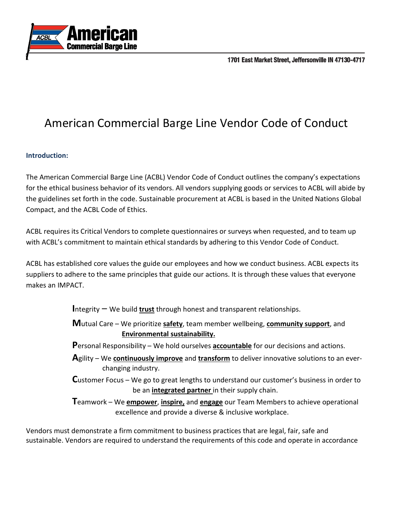



## American Commercial Barge Line Vendor Code of Conduct

## **Introduction:**

The American Commercial Barge Line (ACBL) Vendor Code of Conduct outlines the company's expectations for the ethical business behavior of its vendors. All vendors supplying goods or services to ACBL will abide by the guidelines set forth in the code. Sustainable procurement at ACBL is based in the United Nations Global Compact, and the ACBL Code of Ethics.

ACBL requires its Critical Vendors to complete questionnaires or surveys when requested, and to team up with ACBL's commitment to maintain ethical standards by adhering to this Vendor Code of Conduct.

ACBL has established core values the guide our employees and how we conduct business. ACBL expects its suppliers to adhere to the same principles that guide our actions. It is through these values that everyone makes an IMPACT.

**I**ntegrity – We build **trust** through honest and transparent relationships.

 **M**utual Care – We prioritize **safety**, team member wellbeing, **community support**, and **Environmental sustainability.**

- **P**ersonal Responsibility We hold ourselves **accountable** for our decisions and actions.
- **A**gility We **continuously improve** and **transform** to deliver innovative solutions to an ever changing industry.
- **C**ustomer Focus We go to great lengths to understand our customer's business in order to be an **integrated partner** in their supply chain.

**T**eamwork – We **empower**, **inspire,** and **engage** our Team Members to achieve operational excellence and provide a diverse & inclusive workplace.

Vendors must demonstrate a firm commitment to business practices that are legal, fair, safe and sustainable. Vendors are required to understand the requirements of this code and operate in accordance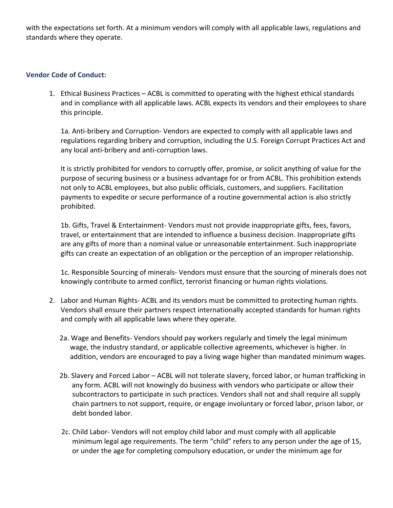with the expectations set forth. At a minimum vendors will comply with all applicable laws, regulations and standards where they operate.

## **Vendor Code of Conduct:**

1. Ethical Business Practices – ACBL is committed to operating with the highest ethical standards and in compliance with all applicable laws. ACBL expects its vendors and their employees to share this principle.

1a. Anti-bribery and Corruption- Vendors are expected to comply with all applicable laws and regulations regarding bribery and corruption, including the U.S. Foreign Corrupt Practices Act and any local anti-bribery and anti-corruption laws.

It is strictly prohibited for vendors to corruptly offer, promise, or solicit anything of value for the purpose of securing business or a business advantage for or from ACBL. This prohibition extends not only to ACBL employees, but also public officials, customers, and suppliers. Facilitation payments to expedite or secure performance of a routine governmental action is also strictly prohibited.

1b. Gifts, Travel & Entertainment- Vendors must not provide inappropriate gifts, fees, favors, travel, or entertainment that are intended to influence a business decision. Inappropriate gifts are any gifts of more than a nominal value or unreasonable entertainment. Such inappropriate gifts can create an expectation of an obligation or the perception of an improper relationship.

1c. Responsible Sourcing of minerals- Vendors must ensure that the sourcing of minerals does not knowingly contribute to armed conflict, terrorist financing or human rights violations.

- 2. Labor and Human Rights- ACBL and its vendors must be committed to protecting human rights. Vendors shall ensure their partners respect internationally accepted standards for human rights and comply with all applicable laws where they operate.
	- 2a. Wage and Benefits- Vendors should pay workers regularly and timely the legal minimum wage, the industry standard, or applicable collective agreements, whichever is higher. In addition, vendors are encouraged to pay a living wage higher than mandated minimum wages.
	- 2b. Slavery and Forced Labor ACBL will not tolerate slavery, forced labor, or human trafficking in any form. ACBL will not knowingly do business with vendors who participate or allow their subcontractors to participate in such practices. Vendors shall not and shall require all supply chain partners to not support, require, or engage involuntary or forced labor, prison labor, or debt bonded labor.
	- 2c. Child Labor- Vendors will not employ child labor and must comply with all applicable minimum legal age requirements. The term "child" refers to any person under the age of 15, or under the age for completing compulsory education, or under the minimum age for